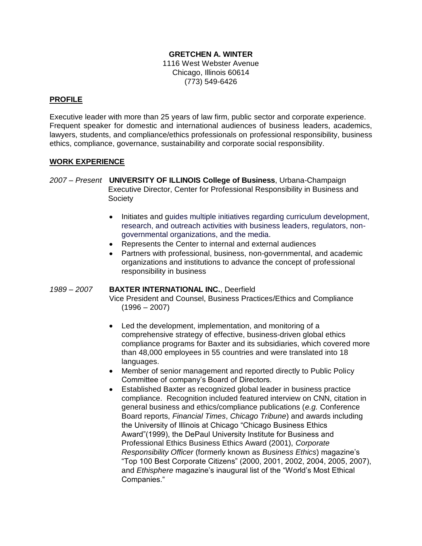### **GRETCHEN A. WINTER**

1116 West Webster Avenue Chicago, Illinois 60614 (773) 549-6426

### **PROFILE**

Executive leader with more than 25 years of law firm, public sector and corporate experience. Frequent speaker for domestic and international audiences of business leaders, academics, lawyers, students, and compliance/ethics professionals on professional responsibility, business ethics, compliance, governance, sustainability and corporate social responsibility.

#### **WORK EXPERIENCE**

- *2007 – Present* **UNIVERSITY OF ILLINOIS College of Business**, Urbana-Champaign Executive Director, Center for Professional Responsibility in Business and **Society** 
	- $\bullet$ Initiates and guides multiple initiatives regarding curriculum development, research, and outreach activities with business leaders, regulators, nongovernmental organizations, and the media.
	- Represents the Center to internal and external audiences
	- Partners with professional, business, non-governmental, and academic  $\bullet$ organizations and institutions to advance the concept of professional responsibility in business

#### *1989 – 2007* **BAXTER INTERNATIONAL INC.**, Deerfield

Vice President and Counsel, Business Practices/Ethics and Compliance  $(1996 - 2007)$ 

- Led the development, implementation, and monitoring of a comprehensive strategy of effective, business-driven global ethics compliance programs for Baxter and its subsidiaries, which covered more than 48,000 employees in 55 countries and were translated into 18 languages.
- $\bullet$ Member of senior management and reported directly to Public Policy Committee of company's Board of Directors.
- $\bullet$ Established Baxter as recognized global leader in business practice compliance. Recognition included featured interview on CNN, citation in general business and ethics/compliance publications (*e.g.* Conference Board reports, *Financial Times*, *Chicago Tribune*) and awards including the University of Illinois at Chicago "Chicago Business Ethics Award"(1999), the DePaul University Institute for Business and Professional Ethics Business Ethics Award (2001), *Corporate Responsibility Officer* (formerly known as *Business Ethics*) magazine's ―Top 100 Best Corporate Citizens‖ (2000, 2001, 2002, 2004, 2005, 2007), and *Ethisphere* magazine's inaugural list of the "World's Most Ethical Companies."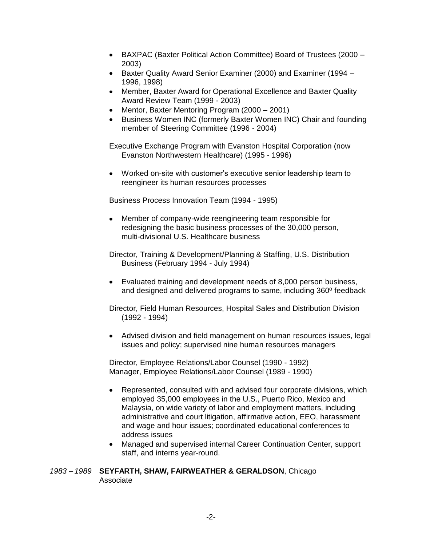- BAXPAC (Baxter Political Action Committee) Board of Trustees (2000 2003)
- Baxter Quality Award Senior Examiner (2000) and Examiner (1994 1996, 1998)
- Member, Baxter Award for Operational Excellence and Baxter Quality Award Review Team (1999 - 2003)
- Mentor, Baxter Mentoring Program (2000 2001)  $\bullet$
- Business Women INC (formerly Baxter Women INC) Chair and founding  $\bullet$ member of Steering Committee (1996 - 2004)

Executive Exchange Program with Evanston Hospital Corporation (now Evanston Northwestern Healthcare) (1995 - 1996)

 $\bullet$ Worked on-site with customer's executive senior leadership team to reengineer its human resources processes

Business Process Innovation Team (1994 - 1995)

 $\bullet$ Member of company-wide reengineering team responsible for redesigning the basic business processes of the 30,000 person, multi-divisional U.S. Healthcare business

Director, Training & Development/Planning & Staffing, U.S. Distribution Business (February 1994 - July 1994)

Evaluated training and development needs of 8,000 person business,  $\bullet$ and designed and delivered programs to same, including 360º feedback

Director, Field Human Resources, Hospital Sales and Distribution Division (1992 - 1994)

Advised division and field management on human resources issues, legal issues and policy; supervised nine human resources managers

Director, Employee Relations/Labor Counsel (1990 - 1992) Manager, Employee Relations/Labor Counsel (1989 - 1990)

- $\bullet$ Represented, consulted with and advised four corporate divisions, which employed 35,000 employees in the U.S., Puerto Rico, Mexico and Malaysia, on wide variety of labor and employment matters, including administrative and court litigation, affirmative action, EEO, harassment and wage and hour issues; coordinated educational conferences to address issues
- Managed and supervised internal Career Continuation Center, support  $\bullet$ staff, and interns year-round.

*1983 – 1989* **SEYFARTH, SHAW, FAIRWEATHER & GERALDSON**, Chicago Associate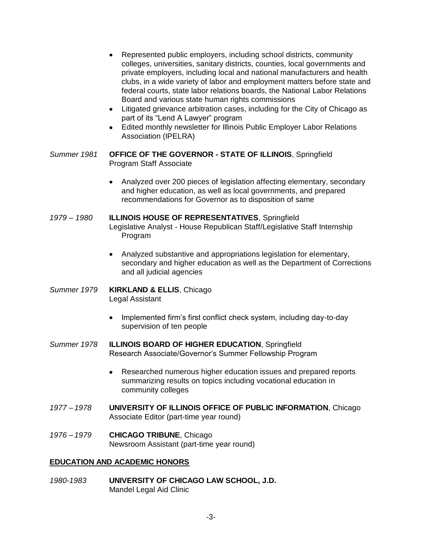- Represented public employers, including school districts, community  $\bullet$ colleges, universities, sanitary districts, counties, local governments and private employers, including local and national manufacturers and health clubs, in a wide variety of labor and employment matters before state and federal courts, state labor relations boards, the National Labor Relations Board and various state human rights commissions
- Litigated grievance arbitration cases, including for the City of Chicago as part of its "Lend A Lawyer" program
- Edited monthly newsletter for Illinois Public Employer Labor Relations Association (IPELRA)
- *Summer 1981* **OFFICE OF THE GOVERNOR - STATE OF ILLINOIS**, Springfield Program Staff Associate
	- Analyzed over 200 pieces of legislation affecting elementary, secondary and higher education, as well as local governments, and prepared recommendations for Governor as to disposition of same
- *1979 – 1980* **ILLINOIS HOUSE OF REPRESENTATIVES**, Springfield Legislative Analyst - House Republican Staff/Legislative Staff Internship Program
	- Analyzed substantive and appropriations legislation for elementary, secondary and higher education as well as the Department of Corrections and all judicial agencies
- *Summer 1979* **KIRKLAND & ELLIS**, Chicago Legal Assistant
	- $\bullet$ Implemented firm's first conflict check system, including day-to-day supervision of ten people
- *Summer 1978* **ILLINOIS BOARD OF HIGHER EDUCATION**, Springfield Research Associate/Governor's Summer Fellowship Program
	- $\bullet$ Researched numerous higher education issues and prepared reports summarizing results on topics including vocational education in community colleges
- *1977 – 1978* **UNIVERSITY OF ILLINOIS OFFICE OF PUBLIC INFORMATION**, Chicago Associate Editor (part-time year round)
- *1976 – 1979* **CHICAGO TRIBUNE**, Chicago Newsroom Assistant (part-time year round)

### **EDUCATION AND ACADEMIC HONORS**

*1980-1983* **UNIVERSITY OF CHICAGO LAW SCHOOL, J.D.** Mandel Legal Aid Clinic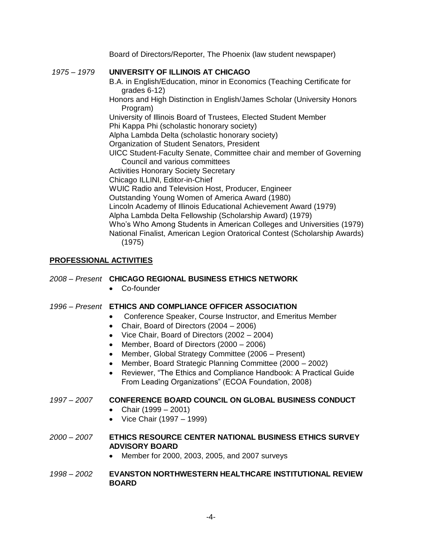Board of Directors/Reporter, The Phoenix (law student newspaper)

## *1975 – 1979* **UNIVERSITY OF ILLINOIS AT CHICAGO**

B.A. in English/Education, minor in Economics (Teaching Certificate for grades 6-12)

Honors and High Distinction in English/James Scholar (University Honors Program)

University of Illinois Board of Trustees, Elected Student Member Phi Kappa Phi (scholastic honorary society)

Alpha Lambda Delta (scholastic honorary society)

Organization of Student Senators, President

UICC Student-Faculty Senate, Committee chair and member of Governing Council and various committees

Activities Honorary Society Secretary

Chicago ILLINI, Editor-in-Chief

WUIC Radio and Television Host, Producer, Engineer

Outstanding Young Women of America Award (1980)

Lincoln Academy of Illinois Educational Achievement Award (1979)

Alpha Lambda Delta Fellowship (Scholarship Award) (1979)

Who's Who Among Students in American Colleges and Universities (1979) National Finalist, American Legion Oratorical Contest (Scholarship Awards) (1975)

# **PROFESSIONAL ACTIVITIES**

### *2008 – Present* **CHICAGO REGIONAL BUSINESS ETHICS NETWORK**

Co-founder

### *1996 – Present* **ETHICS AND COMPLIANCE OFFICER ASSOCIATION**

- Conference Speaker, Course Instructor, and Emeritus Member  $\bullet$ 
	- $\bullet$ Chair, Board of Directors (2004 – 2006)
	- Vice Chair, Board of Directors (2002 2004)
	- Member, Board of Directors (2000 2006)
	- $\bullet$ Member, Global Strategy Committee (2006 – Present)
	- $\bullet$ Member, Board Strategic Planning Committee (2000 – 2002)
	- Reviewer, "The Ethics and Compliance Handbook: A Practical Guide  $\bullet$ From Leading Organizations" (ECOA Foundation, 2008)

### *1997 – 2007* **CONFERENCE BOARD COUNCIL ON GLOBAL BUSINESS CONDUCT**

- Chair (1999 2001)  $\bullet$
- Vice Chair (1997 1999)
- *2000 – 2007* **ETHICS RESOURCE CENTER NATIONAL BUSINESS ETHICS SURVEY ADVISORY BOARD**
	- Member for 2000, 2003, 2005, and 2007 surveys
- *1998 – 2002* **EVANSTON NORTHWESTERN HEALTHCARE INSTITUTIONAL REVIEW BOARD**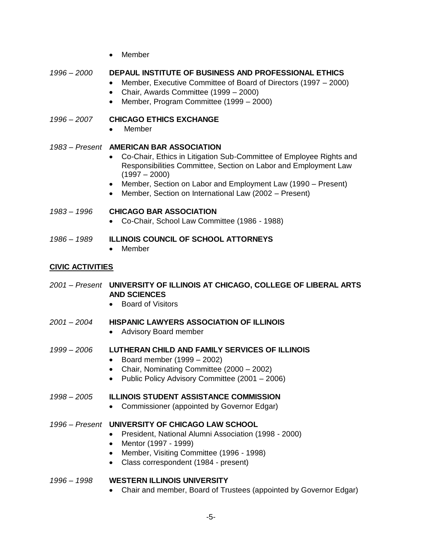• Member

# *1996 – 2000* **DEPAUL INSTITUTE OF BUSINESS AND PROFESSIONAL ETHICS**

- $\bullet$ Member, Executive Committee of Board of Directors (1997 – 2000)
- Chair, Awards Committee (1999 2000)
- Member, Program Committee (1999 2000)

## *1996 – 2007* **CHICAGO ETHICS EXCHANGE**

**Member** 

# *1983 – Present* **AMERICAN BAR ASSOCIATION**

- Co-Chair, Ethics in Litigation Sub-Committee of Employee Rights and Responsibilities Committee, Section on Labor and Employment Law  $(1997 - 2000)$
- Member, Section on Labor and Employment Law (1990 Present)
- $\bullet$ Member, Section on International Law (2002 – Present)

## *1983 – 1996* **CHICAGO BAR ASSOCIATION**

- Co-Chair, School Law Committee (1986 1988)  $\bullet$
- *1986 – 1989* **ILLINOIS COUNCIL OF SCHOOL ATTORNEYS**
	- Member

## **CIVIC ACTIVITIES**

- *2001 – Present* **UNIVERSITY OF ILLINOIS AT CHICAGO, COLLEGE OF LIBERAL ARTS AND SCIENCES**
	- Board of Visitors
- *2001 – 2004* **HISPANIC LAWYERS ASSOCIATION OF ILLINOIS**
	- Advisory Board member

### *1999 – 2006* **LUTHERAN CHILD AND FAMILY SERVICES OF ILLINOIS**

- Board member  $(1999 2002)$
- Chair, Nominating Committee (2000 2002)
- Public Policy Advisory Committee (2001 2006)

# *1998 – 2005* **ILLINOIS STUDENT ASSISTANCE COMMISSION**

• Commissioner (appointed by Governor Edgar)

### *1996 – Present* **UNIVERSITY OF CHICAGO LAW SCHOOL**

- President, National Alumni Association (1998 2000)
- Mentor (1997 1999)
- Member, Visiting Committee (1996 1998)
- Class correspondent (1984 present)

### *1996 – 1998* **WESTERN ILLINOIS UNIVERSITY**

Chair and member, Board of Trustees (appointed by Governor Edgar)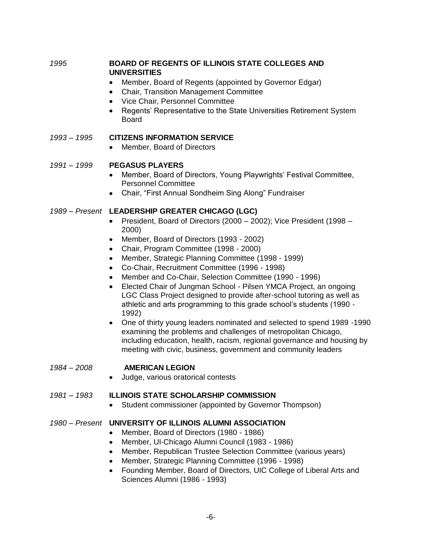*1995* **BOARD OF REGENTS OF ILLINOIS STATE COLLEGES AND UNIVERSITIES**

- Member, Board of Regents (appointed by Governor Edgar)
- Chair, Transition Management Committee
- Vice Chair, Personnel Committee
- Regents' Representative to the State Universities Retirement System Board

### *1993 – 1995* **CITIZENS INFORMATION SERVICE**

Member, Board of Directors  $\bullet$ 

### *1991 – 1999* **PEGASUS PLAYERS**

- Member, Board of Directors, Young Playwrights' Festival Committee,  $\bullet$ Personnel Committee
- Chair, "First Annual Sondheim Sing Along" Fundraiser

### *1989 – Present* **LEADERSHIP GREATER CHICAGO (LGC)**

- $\bullet$ President, Board of Directors (2000 – 2002); Vice President (1998 – 2000)
- Member, Board of Directors (1993 2002)
- Chair, Program Committee (1998 2000)
- Member, Strategic Planning Committee (1998 1999)
- Co-Chair, Recruitment Committee (1996 1998)
- Member and Co-Chair, Selection Committee (1990 1996)  $\bullet$
- $\bullet$ Elected Chair of Jungman School - Pilsen YMCA Project, an ongoing LGC Class Project designed to provide after-school tutoring as well as athletic and arts programming to this grade school's students (1990 - 1992)
- One of thirty young leaders nominated and selected to spend 1989 -1990 examining the problems and challenges of metropolitan Chicago, including education, health, racism, regional governance and housing by meeting with civic, business, government and community leaders

### *1984 – 2008* **AMERICAN LEGION**

Judge, various oratorical contests

### *1981 – 1983* **ILLINOIS STATE SCHOLARSHIP COMMISSION**

• Student commissioner (appointed by Governor Thompson)

### *1980 – Present* **UNIVERSITY OF ILLINOIS ALUMNI ASSOCIATION**

- Member, Board of Directors (1980 1986)  $\bullet$
- Member, UI-Chicago Alumni Council (1983 1986)  $\bullet$
- Member, Republican Trustee Selection Committee (various years)  $\bullet$
- Member, Strategic Planning Committee (1996 1998)  $\bullet$
- $\bullet$ Founding Member, Board of Directors, UIC College of Liberal Arts and Sciences Alumni (1986 - 1993)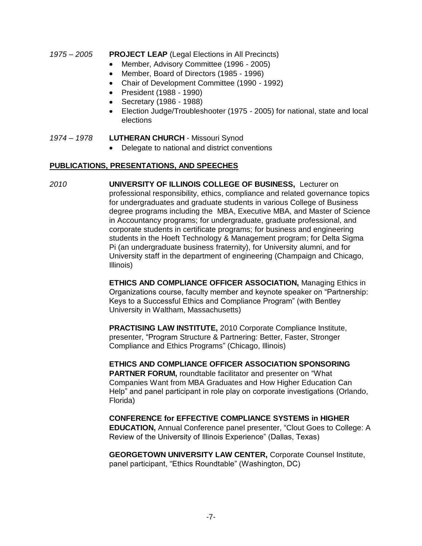#### *1975 – 2005* **PROJECT LEAP** (Legal Elections in All Precincts)

- $\bullet$ Member, Advisory Committee (1996 - 2005)
- Member, Board of Directors (1985 1996)  $\bullet$
- Chair of Development Committee (1990 1992)
- President (1988 1990)
- Secretary (1986 1988)
- Election Judge/Troubleshooter (1975 2005) for national, state and local  $\bullet$ elections

#### *1974 – 1978* **LUTHERAN CHURCH** - Missouri Synod

 $\bullet$ Delegate to national and district conventions

#### **PUBLICATIONS, PRESENTATIONS, AND SPEECHES**

*2010* **UNIVERSITY OF ILLINOIS COLLEGE OF BUSINESS,** Lecturer on professional responsibility, ethics, compliance and related governance topics for undergraduates and graduate students in various College of Business degree programs including the MBA, Executive MBA, and Master of Science in Accountancy programs; for undergraduate, graduate professional, and corporate students in certificate programs; for business and engineering students in the Hoeft Technology & Management program; for Delta Sigma Pi (an undergraduate business fraternity), for University alumni, and for University staff in the department of engineering (Champaign and Chicago, Illinois)

> **ETHICS AND COMPLIANCE OFFICER ASSOCIATION,** Managing Ethics in Organizations course, faculty member and keynote speaker on "Partnership: Keys to a Successful Ethics and Compliance Program" (with Bentley University in Waltham, Massachusetts)

**PRACTISING LAW INSTITUTE,** 2010 Corporate Compliance Institute, presenter, "Program Structure & Partnering: Better, Faster, Stronger Compliance and Ethics Programs‖ (Chicago, Illinois)

**ETHICS AND COMPLIANCE OFFICER ASSOCIATION SPONSORING PARTNER FORUM, roundtable facilitator and presenter on "What"** Companies Want from MBA Graduates and How Higher Education Can Help" and panel participant in role play on corporate investigations (Orlando, Florida)

**CONFERENCE for EFFECTIVE COMPLIANCE SYSTEMS in HIGHER EDUCATION, Annual Conference panel presenter, "Clout Goes to College: A** Review of the University of Illinois Experience" (Dallas, Texas)

**GEORGETOWN UNIVERSITY LAW CENTER,** Corporate Counsel Institute, panel participant, "Ethics Roundtable" (Washington, DC)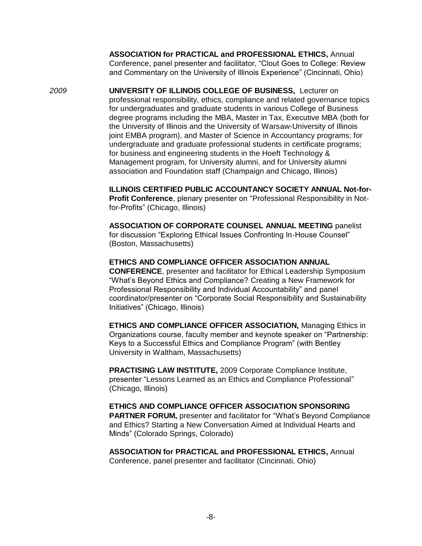**ASSOCIATION for PRACTICAL and PROFESSIONAL ETHICS,** Annual Conference, panel presenter and facilitator, "Clout Goes to College: Review and Commentary on the University of Illinois Experience" (Cincinnati, Ohio)

*2009* **UNIVERSITY OF ILLINOIS COLLEGE OF BUSINESS,** Lecturer on professional responsibility, ethics, compliance and related governance topics for undergraduates and graduate students in various College of Business degree programs including the MBA, Master in Tax, Executive MBA (both for the University of Illinois and the University of Warsaw-University of Illinois joint EMBA program), and Master of Science in Accountancy programs; for undergraduate and graduate professional students in certificate programs; for business and engineering students in the Hoeft Technology & Management program, for University alumni, and for University alumni association and Foundation staff (Champaign and Chicago, Illinois)

> **ILLINOIS CERTIFIED PUBLIC ACCOUNTANCY SOCIETY ANNUAL Not-for-Profit Conference**, plenary presenter on "Professional Responsibility in Notfor-Profits" (Chicago, Illinois)

**ASSOCIATION OF CORPORATE COUNSEL ANNUAL MEETING** panelist for discussion "Exploring Ethical Issues Confronting In-House Counsel" (Boston, Massachusetts)

#### **ETHICS AND COMPLIANCE OFFICER ASSOCIATION ANNUAL**

**CONFERENCE**, presenter and facilitator for Ethical Leadership Symposium "What's Bevond Ethics and Compliance? Creating a New Framework for Professional Responsibility and Individual Accountability" and panel coordinator/presenter on "Corporate Social Responsibility and Sustainability Initiatives‖ (Chicago, Illinois)

**ETHICS AND COMPLIANCE OFFICER ASSOCIATION,** Managing Ethics in Organizations course, faculty member and keynote speaker on "Partnership: Keys to a Successful Ethics and Compliance Program" (with Bentley University in Waltham, Massachusetts)

**PRACTISING LAW INSTITUTE,** 2009 Corporate Compliance Institute, presenter "Lessons Learned as an Ethics and Compliance Professional" (Chicago, Illinois)

**ETHICS AND COMPLIANCE OFFICER ASSOCIATION SPONSORING PARTNER FORUM, presenter and facilitator for "What's Beyond Compliance"** and Ethics? Starting a New Conversation Aimed at Individual Hearts and Minds‖ (Colorado Springs, Colorado)

**ASSOCIATION for PRACTICAL and PROFESSIONAL ETHICS,** Annual Conference, panel presenter and facilitator (Cincinnati, Ohio)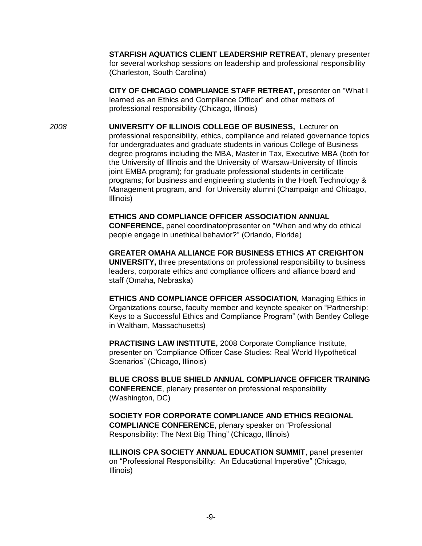**STARFISH AQUATICS CLIENT LEADERSHIP RETREAT,** plenary presenter for several workshop sessions on leadership and professional responsibility (Charleston, South Carolina)

**CITY OF CHICAGO COMPLIANCE STAFF RETREAT, presenter on "What I** learned as an Ethics and Compliance Officer" and other matters of professional responsibility (Chicago, Illinois)

*2008* **UNIVERSITY OF ILLINOIS COLLEGE OF BUSINESS,** Lecturer on professional responsibility, ethics, compliance and related governance topics for undergraduates and graduate students in various College of Business degree programs including the MBA, Master in Tax, Executive MBA (both for the University of Illinois and the University of Warsaw-University of Illinois joint EMBA program); for graduate professional students in certificate programs; for business and engineering students in the Hoeft Technology & Management program, and for University alumni (Champaign and Chicago, Illinois)

> **ETHICS AND COMPLIANCE OFFICER ASSOCIATION ANNUAL CONFERENCE,** panel coordinator/presenter on "When and why do ethical people engage in unethical behavior?" (Orlando, Florida)

**GREATER OMAHA ALLIANCE FOR BUSINESS ETHICS AT CREIGHTON UNIVERSITY,** three presentations on professional responsibility to business leaders, corporate ethics and compliance officers and alliance board and staff (Omaha, Nebraska)

**ETHICS AND COMPLIANCE OFFICER ASSOCIATION,** Managing Ethics in Organizations course, faculty member and keynote speaker on "Partnership: Keys to a Successful Ethics and Compliance Program‖ (with Bentley College in Waltham, Massachusetts)

**PRACTISING LAW INSTITUTE,** 2008 Corporate Compliance Institute, presenter on "Compliance Officer Case Studies: Real World Hypothetical Scenarios" (Chicago, Illinois)

**BLUE CROSS BLUE SHIELD ANNUAL COMPLIANCE OFFICER TRAINING CONFERENCE**, plenary presenter on professional responsibility (Washington, DC)

**SOCIETY FOR CORPORATE COMPLIANCE AND ETHICS REGIONAL COMPLIANCE CONFERENCE, plenary speaker on "Professional** Responsibility: The Next Big Thing" (Chicago, Illinois)

**ILLINOIS CPA SOCIETY ANNUAL EDUCATION SUMMIT**, panel presenter on "Professional Responsibility: An Educational Imperative" (Chicago, Illinois)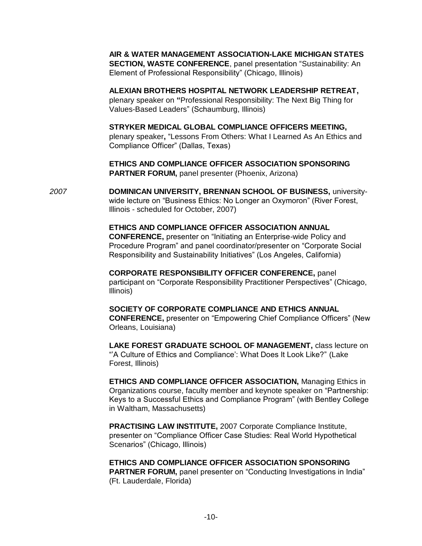**AIR & WATER MANAGEMENT ASSOCIATION-LAKE MICHIGAN STATES SECTION, WASTE CONFERENCE, panel presentation "Sustainability: An** Element of Professional Responsibility" (Chicago, Illinois)

**ALEXIAN BROTHERS HOSPITAL NETWORK LEADERSHIP RETREAT,**  plenary speaker on **"**Professional Responsibility: The Next Big Thing for Values-Based Leaders‖ (Schaumburg, Illinois)

**STRYKER MEDICAL GLOBAL COMPLIANCE OFFICERS MEETING,**  plenary speaker, "Lessons From Others: What I Learned As An Ethics and Compliance Officer" (Dallas, Texas)

**ETHICS AND COMPLIANCE OFFICER ASSOCIATION SPONSORING PARTNER FORUM,** panel presenter (Phoenix, Arizona)

*2007* **DOMINICAN UNIVERSITY, BRENNAN SCHOOL OF BUSINESS,** universitywide lecture on "Business Ethics: No Longer an Oxymoron" (River Forest, Illinois - scheduled for October, 2007)

> **ETHICS AND COMPLIANCE OFFICER ASSOCIATION ANNUAL CONFERENCE,** presenter on "Initiating an Enterprise-wide Policy and Procedure Program" and panel coordinator/presenter on "Corporate Social Responsibility and Sustainability Initiatives" (Los Angeles, California)

**CORPORATE RESPONSIBILITY OFFICER CONFERENCE,** panel participant on "Corporate Responsibility Practitioner Perspectives" (Chicago, Illinois)

**SOCIETY OF CORPORATE COMPLIANCE AND ETHICS ANNUAL CONFERENCE,** presenter on ―Empowering Chief Compliance Officers‖ (New Orleans, Louisiana)

**LAKE FOREST GRADUATE SCHOOL OF MANAGEMENT,** class lecture on "A Culture of Ethics and Compliance': What Does It Look Like?" (Lake Forest, Illinois)

**ETHICS AND COMPLIANCE OFFICER ASSOCIATION,** Managing Ethics in Organizations course, faculty member and keynote speaker on "Partnership: Keys to a Successful Ethics and Compliance Program‖ (with Bentley College in Waltham, Massachusetts)

**PRACTISING LAW INSTITUTE,** 2007 Corporate Compliance Institute, presenter on "Compliance Officer Case Studies: Real World Hypothetical Scenarios" (Chicago, Illinois)

### **ETHICS AND COMPLIANCE OFFICER ASSOCIATION SPONSORING**

**PARTNER FORUM, panel presenter on "Conducting Investigations in India"** (Ft. Lauderdale, Florida)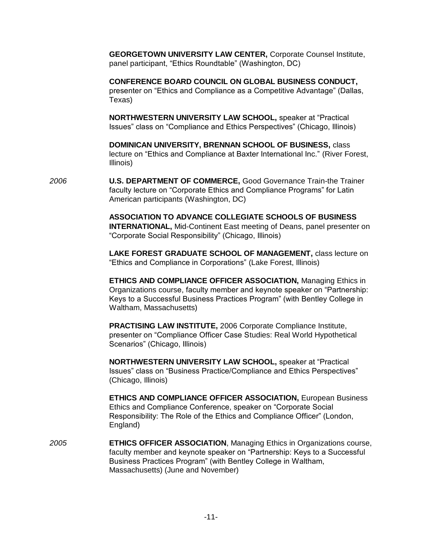**GEORGETOWN UNIVERSITY LAW CENTER,** Corporate Counsel Institute, panel participant, "Ethics Roundtable" (Washington, DC)

**CONFERENCE BOARD COUNCIL ON GLOBAL BUSINESS CONDUCT,**  presenter on "Ethics and Compliance as a Competitive Advantage" (Dallas, Texas)

**NORTHWESTERN UNIVERSITY LAW SCHOOL, speaker at "Practical** Issues" class on "Compliance and Ethics Perspectives" (Chicago, Illinois)

**DOMINICAN UNIVERSITY, BRENNAN SCHOOL OF BUSINESS,** class lecture on "Ethics and Compliance at Baxter International Inc." (River Forest, Illinois)

*2006* **U.S. DEPARTMENT OF COMMERCE,** Good Governance Train-the Trainer faculty lecture on "Corporate Ethics and Compliance Programs" for Latin American participants (Washington, DC)

> **ASSOCIATION TO ADVANCE COLLEGIATE SCHOOLS OF BUSINESS INTERNATIONAL,** Mid-Continent East meeting of Deans, panel presenter on ―Corporate Social Responsibility‖ (Chicago, Illinois)

> **LAKE FOREST GRADUATE SCHOOL OF MANAGEMENT,** class lecture on ―Ethics and Compliance in Corporations‖ (Lake Forest, Illinois)

> **ETHICS AND COMPLIANCE OFFICER ASSOCIATION,** Managing Ethics in Organizations course, faculty member and keynote speaker on "Partnership: Keys to a Successful Business Practices Program" (with Bentley College in Waltham, Massachusetts)

**PRACTISING LAW INSTITUTE,** 2006 Corporate Compliance Institute, presenter on ―Compliance Officer Case Studies: Real World Hypothetical Scenarios" (Chicago, Illinois)

**NORTHWESTERN UNIVERSITY LAW SCHOOL, speaker at "Practical"** Issues" class on "Business Practice/Compliance and Ethics Perspectives" (Chicago, Illinois)

**ETHICS AND COMPLIANCE OFFICER ASSOCIATION,** European Business Ethics and Compliance Conference, speaker on "Corporate Social Responsibility: The Role of the Ethics and Compliance Officer" (London, England)

*2005* **ETHICS OFFICER ASSOCIATION**, Managing Ethics in Organizations course, faculty member and keynote speaker on "Partnership: Keys to a Successful Business Practices Program" (with Bentley College in Waltham, Massachusetts) (June and November)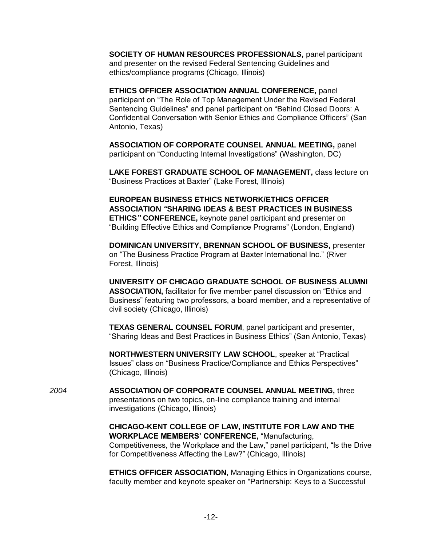**SOCIETY OF HUMAN RESOURCES PROFESSIONALS,** panel participant and presenter on the revised Federal Sentencing Guidelines and ethics/compliance programs (Chicago, Illinois)

**ETHICS OFFICER ASSOCIATION ANNUAL CONFERENCE,** panel participant on "The Role of Top Management Under the Revised Federal Sentencing Guidelines" and panel participant on "Behind Closed Doors: A Confidential Conversation with Senior Ethics and Compliance Officers" (San Antonio, Texas)

**ASSOCIATION OF CORPORATE COUNSEL ANNUAL MEETING,** panel participant on "Conducting Internal Investigations" (Washington, DC)

**LAKE FOREST GRADUATE SCHOOL OF MANAGEMENT,** class lecture on ―Business Practices at Baxter‖ (Lake Forest, Illinois)

**EUROPEAN BUSINESS ETHICS NETWORK/ETHICS OFFICER ASSOCIATION** *"***SHARING IDEAS & BEST PRACTICES IN BUSINESS ETHICS***"* **CONFERENCE,** keynote panel participant and presenter on "Building Effective Ethics and Compliance Programs" (London, England)

**DOMINICAN UNIVERSITY, BRENNAN SCHOOL OF BUSINESS,** presenter on "The Business Practice Program at Baxter International Inc." (River Forest, Illinois)

**UNIVERSITY OF CHICAGO GRADUATE SCHOOL OF BUSINESS ALUMNI**  ASSOCIATION, facilitator for five member panel discussion on "Ethics and Business" featuring two professors, a board member, and a representative of civil society (Chicago, Illinois)

**TEXAS GENERAL COUNSEL FORUM**, panel participant and presenter, ―Sharing Ideas and Best Practices in Business Ethics‖ (San Antonio, Texas)

**NORTHWESTERN UNIVERSITY LAW SCHOOL, speaker at "Practical** Issues" class on "Business Practice/Compliance and Ethics Perspectives" (Chicago, Illinois)

*2004* **ASSOCIATION OF CORPORATE COUNSEL ANNUAL MEETING,** three presentations on two topics, on-line compliance training and internal investigations (Chicago, Illinois)

> **CHICAGO-KENT COLLEGE OF LAW, INSTITUTE FOR LAW AND THE WORKPLACE MEMBERS' CONFERENCE, "Manufacturing,** Competitiveness, the Workplace and the Law," panel participant, "Is the Drive for Competitiveness Affecting the Law?‖ (Chicago, Illinois)

> **ETHICS OFFICER ASSOCIATION**, Managing Ethics in Organizations course, faculty member and keynote speaker on "Partnership: Keys to a Successful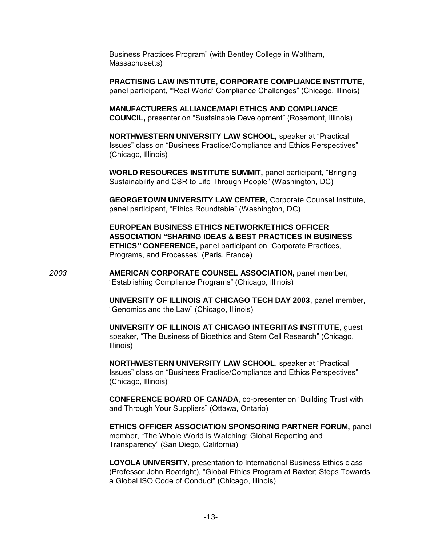Business Practices Program" (with Bentley College in Waltham, Massachusetts)

**PRACTISING LAW INSTITUTE, CORPORATE COMPLIANCE INSTITUTE,**  panel participant, "Real World' Compliance Challenges" (Chicago, Illinois)

**MANUFACTURERS ALLIANCE/MAPI ETHICS AND COMPLIANCE COUNCIL,** presenter on "Sustainable Development" (Rosemont, Illinois)

**NORTHWESTERN UNIVERSITY LAW SCHOOL, speaker at "Practical"** Issues" class on "Business Practice/Compliance and Ethics Perspectives" (Chicago, Illinois)

**WORLD RESOURCES INSTITUTE SUMMIT, panel participant, "Bringing"** Sustainability and CSR to Life Through People" (Washington, DC)

**GEORGETOWN UNIVERSITY LAW CENTER,** Corporate Counsel Institute, panel participant, "Ethics Roundtable" (Washington, DC)

**EUROPEAN BUSINESS ETHICS NETWORK/ETHICS OFFICER ASSOCIATION** *"***SHARING IDEAS & BEST PRACTICES IN BUSINESS ETHICS**" **CONFERENCE**, panel participant on "Corporate Practices, Programs, and Processes" (Paris, France)

*2003* **AMERICAN CORPORATE COUNSEL ASSOCIATION,** panel member, ―Establishing Compliance Programs‖ (Chicago, Illinois)

> **UNIVERSITY OF ILLINOIS AT CHICAGO TECH DAY 2003**, panel member, ―Genomics and the Law‖ (Chicago, Illinois)

> **UNIVERSITY OF ILLINOIS AT CHICAGO INTEGRITAS INSTITUTE**, guest speaker, "The Business of Bioethics and Stem Cell Research" (Chicago, Illinois)

**NORTHWESTERN UNIVERSITY LAW SCHOOL, speaker at "Practical** Issues" class on "Business Practice/Compliance and Ethics Perspectives" (Chicago, Illinois)

**CONFERENCE BOARD OF CANADA, co-presenter on "Building Trust with** and Through Your Suppliers" (Ottawa, Ontario)

**ETHICS OFFICER ASSOCIATION SPONSORING PARTNER FORUM,** panel member, "The Whole World is Watching: Global Reporting and Transparency‖ (San Diego, California)

**LOYOLA UNIVERSITY**, presentation to International Business Ethics class (Professor John Boatright), "Global Ethics Program at Baxter; Steps Towards a Global ISO Code of Conduct" (Chicago, Illinois)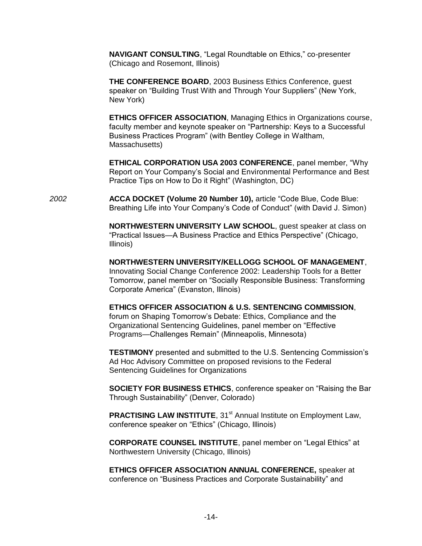**NAVIGANT CONSULTING**, "Legal Roundtable on Ethics," co-presenter (Chicago and Rosemont, Illinois)

**THE CONFERENCE BOARD**, 2003 Business Ethics Conference, guest speaker on "Building Trust With and Through Your Suppliers" (New York, New York)

**ETHICS OFFICER ASSOCIATION**, Managing Ethics in Organizations course, faculty member and keynote speaker on "Partnership: Keys to a Successful Business Practices Program" (with Bentley College in Waltham, Massachusetts)

**ETHICAL CORPORATION USA 2003 CONFERENCE, panel member, "Why"** Report on Your Company's Social and Environmental Performance and Best Practice Tips on How to Do it Right" (Washington, DC)

**2002 ACCA DOCKET (Volume 20 Number 10), article "Code Blue, Code Blue:** Breathing Life into Your Company's Code of Conduct" (with David J. Simon)

> **NORTHWESTERN UNIVERSITY LAW SCHOOL**, guest speaker at class on "Practical Issues—A Business Practice and Ethics Perspective" (Chicago, Illinois)

> **NORTHWESTERN UNIVERSITY/KELLOGG SCHOOL OF MANAGEMENT**, Innovating Social Change Conference 2002: Leadership Tools for a Better Tomorrow, panel member on "Socially Responsible Business: Transforming Corporate America‖ (Evanston, Illinois)

**ETHICS OFFICER ASSOCIATION & U.S. SENTENCING COMMISSION**, forum on Shaping Tomorrow's Debate: Ethics, Compliance and the Organizational Sentencing Guidelines, panel member on "Effective Programs—Challenges Remain" (Minneapolis, Minnesota)

**TESTIMONY** presented and submitted to the U.S. Sentencing Commission's Ad Hoc Advisory Committee on proposed revisions to the Federal Sentencing Guidelines for Organizations

**SOCIETY FOR BUSINESS ETHICS**, conference speaker on "Raising the Bar Through Sustainability" (Denver, Colorado)

**PRACTISING LAW INSTITUTE, 31<sup>st</sup> Annual Institute on Employment Law,** conference speaker on "Ethics" (Chicago, Illinois)

**CORPORATE COUNSEL INSTITUTE**, panel member on "Legal Ethics" at Northwestern University (Chicago, Illinois)

**ETHICS OFFICER ASSOCIATION ANNUAL CONFERENCE,** speaker at conference on "Business Practices and Corporate Sustainability" and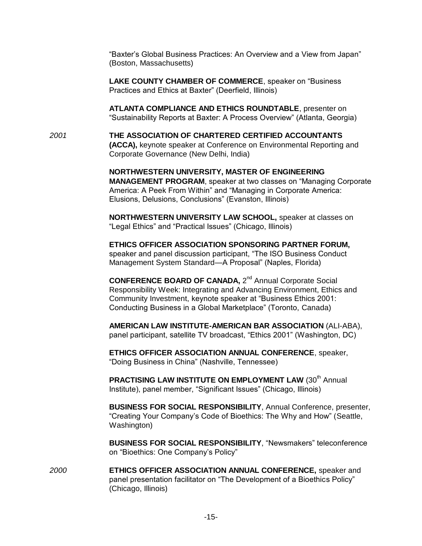"Baxter's Global Business Practices: An Overview and a View from Japan" (Boston, Massachusetts)

LAKE COUNTY CHAMBER OF COMMERCE, speaker on "Business Practices and Ethics at Baxter" (Deerfield, Illinois)

**ATLANTA COMPLIANCE AND ETHICS ROUNDTABLE**, presenter on ―Sustainability Reports at Baxter: A Process Overview‖ (Atlanta, Georgia)

*2001* **THE ASSOCIATION OF CHARTERED CERTIFIED ACCOUNTANTS (ACCA),** keynote speaker at Conference on Environmental Reporting and Corporate Governance (New Delhi, India)

> **NORTHWESTERN UNIVERSITY, MASTER OF ENGINEERING MANAGEMENT PROGRAM, speaker at two classes on "Managing Corporate"** America: A Peek From Within" and "Managing in Corporate America: Elusions, Delusions, Conclusions‖ (Evanston, Illinois)

**NORTHWESTERN UNIVERSITY LAW SCHOOL,** speaker at classes on "Legal Ethics" and "Practical Issues" (Chicago, Illinois)

**ETHICS OFFICER ASSOCIATION SPONSORING PARTNER FORUM,**  speaker and panel discussion participant, "The ISO Business Conduct Management System Standard—A Proposal" (Naples, Florida)

CONFERENCE BOARD OF CANADA, 2<sup>nd</sup> Annual Corporate Social Responsibility Week: Integrating and Advancing Environment, Ethics and Community Investment, keynote speaker at "Business Ethics 2001: Conducting Business in a Global Marketplace‖ (Toronto, Canada)

**AMERICAN LAW INSTITUTE-AMERICAN BAR ASSOCIATION** (ALI-ABA), panel participant, satellite TV broadcast, "Ethics 2001" (Washington, DC)

**ETHICS OFFICER ASSOCIATION ANNUAL CONFERENCE**, speaker, ―Doing Business in China‖ (Nashville, Tennessee)

**PRACTISING LAW INSTITUTE ON EMPLOYMENT LAW (30<sup>th</sup> Annual** Institute), panel member, "Significant Issues" (Chicago, Illinois)

**BUSINESS FOR SOCIAL RESPONSIBILITY**, Annual Conference, presenter, "Creating Your Company's Code of Bioethics: The Why and How" (Seattle, Washington)

**BUSINESS FOR SOCIAL RESPONSIBILITY**, "Newsmakers" teleconference on "Bioethics: One Company's Policy"

*2000* **ETHICS OFFICER ASSOCIATION ANNUAL CONFERENCE,** speaker and panel presentation facilitator on "The Development of a Bioethics Policy" (Chicago, Illinois)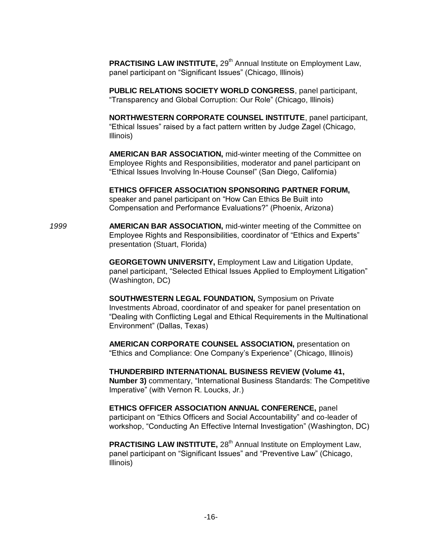**PRACTISING LAW INSTITUTE, 29<sup>th</sup> Annual Institute on Employment Law,** panel participant on "Significant Issues" (Chicago, Illinois)

**PUBLIC RELATIONS SOCIETY WORLD CONGRESS**, panel participant, ―Transparency and Global Corruption: Our Role‖ (Chicago, Illinois)

**NORTHWESTERN CORPORATE COUNSEL INSTITUTE**, panel participant, "Ethical Issues" raised by a fact pattern written by Judge Zagel (Chicago, Illinois)

**AMERICAN BAR ASSOCIATION,** mid-winter meeting of the Committee on Employee Rights and Responsibilities, moderator and panel participant on ―Ethical Issues Involving In-House Counsel‖ (San Diego, California)

**ETHICS OFFICER ASSOCIATION SPONSORING PARTNER FORUM,**  speaker and panel participant on "How Can Ethics Be Built into Compensation and Performance Evaluations?‖ (Phoenix, Arizona)

*1999* **AMERICAN BAR ASSOCIATION,** mid-winter meeting of the Committee on Employee Rights and Responsibilities, coordinator of "Ethics and Experts" presentation (Stuart, Florida)

> **GEORGETOWN UNIVERSITY,** Employment Law and Litigation Update, panel participant, "Selected Ethical Issues Applied to Employment Litigation" (Washington, DC)

> **SOUTHWESTERN LEGAL FOUNDATION,** Symposium on Private Investments Abroad, coordinator of and speaker for panel presentation on ―Dealing with Conflicting Legal and Ethical Requirements in the Multinational Environment‖ (Dallas, Texas)

**AMERICAN CORPORATE COUNSEL ASSOCIATION,** presentation on ―Ethics and Compliance: One Company's Experience‖ (Chicago, Illinois)

**THUNDERBIRD INTERNATIONAL BUSINESS REVIEW (Volume 41, Number 3)** commentary, "International Business Standards: The Competitive Imperative" (with Vernon R. Loucks, Jr.)

**ETHICS OFFICER ASSOCIATION ANNUAL CONFERENCE,** panel participant on "Ethics Officers and Social Accountability" and co-leader of workshop, "Conducting An Effective Internal Investigation" (Washington, DC)

**PRACTISING LAW INSTITUTE, 28<sup>th</sup> Annual Institute on Employment Law,** panel participant on "Significant Issues" and "Preventive Law" (Chicago, Illinois)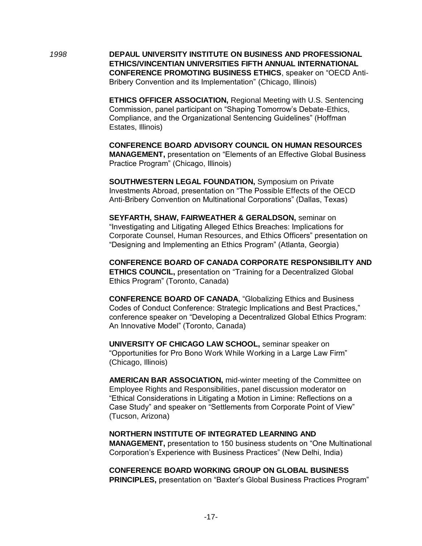*1998* **DEPAUL UNIVERSITY INSTITUTE ON BUSINESS AND PROFESSIONAL ETHICS/VINCENTIAN UNIVERSITIES FIFTH ANNUAL INTERNATIONAL CONFERENCE PROMOTING BUSINESS ETHICS, speaker on "OECD Anti-**Bribery Convention and its Implementation" (Chicago, Illinois)

> **ETHICS OFFICER ASSOCIATION,** Regional Meeting with U.S. Sentencing Commission, panel participant on "Shaping Tomorrow's Debate-Ethics, Compliance, and the Organizational Sentencing Guidelines" (Hoffman Estates, Illinois)

> **CONFERENCE BOARD ADVISORY COUNCIL ON HUMAN RESOURCES MANAGEMENT, presentation on "Elements of an Effective Global Business"** Practice Program" (Chicago, Illinois)

**SOUTHWESTERN LEGAL FOUNDATION,** Symposium on Private Investments Abroad, presentation on "The Possible Effects of the OECD" Anti-Bribery Convention on Multinational Corporations" (Dallas, Texas)

**SEYFARTH, SHAW, FAIRWEATHER & GERALDSON,** seminar on ―Investigating and Litigating Alleged Ethics Breaches: Implications for Corporate Counsel, Human Resources, and Ethics Officers" presentation on ―Designing and Implementing an Ethics Program‖ (Atlanta, Georgia)

**CONFERENCE BOARD OF CANADA CORPORATE RESPONSIBILITY AND ETHICS COUNCIL, presentation on "Training for a Decentralized Global** Ethics Program" (Toronto, Canada)

**CONFERENCE BOARD OF CANADA, "Globalizing Ethics and Business** Codes of Conduct Conference: Strategic Implications and Best Practices," conference speaker on "Developing a Decentralized Global Ethics Program: An Innovative Model" (Toronto, Canada)

**UNIVERSITY OF CHICAGO LAW SCHOOL,** seminar speaker on "Opportunities for Pro Bono Work While Working in a Large Law Firm" (Chicago, Illinois)

**AMERICAN BAR ASSOCIATION,** mid-winter meeting of the Committee on Employee Rights and Responsibilities, panel discussion moderator on ―Ethical Considerations in Litigating a Motion in Limine: Reflections on a Case Study" and speaker on "Settlements from Corporate Point of View" (Tucson, Arizona)

#### **NORTHERN INSTITUTE OF INTEGRATED LEARNING AND**

**MANAGEMENT, presentation to 150 business students on "One Multinational** Corporation's Experience with Business Practices" (New Delhi, India)

**CONFERENCE BOARD WORKING GROUP ON GLOBAL BUSINESS PRINCIPLES, presentation on "Baxter's Global Business Practices Program"**